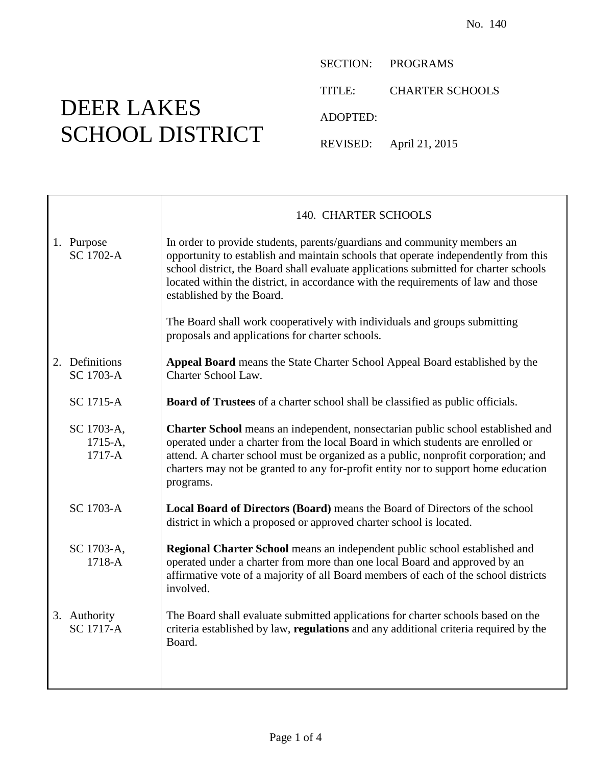DEER LAKES SCHOOL DISTRICT SECTION: PROGRAMS

TITLE: CHARTER SCHOOLS

ADOPTED:

REVISED: April 21, 2015

|                                     | 140. CHARTER SCHOOLS                                                                                                                                                                                                                                                                                                                                                     |
|-------------------------------------|--------------------------------------------------------------------------------------------------------------------------------------------------------------------------------------------------------------------------------------------------------------------------------------------------------------------------------------------------------------------------|
| 1. Purpose<br><b>SC 1702-A</b>      | In order to provide students, parents/guardians and community members an<br>opportunity to establish and maintain schools that operate independently from this<br>school district, the Board shall evaluate applications submitted for charter schools<br>located within the district, in accordance with the requirements of law and those<br>established by the Board. |
|                                     | The Board shall work cooperatively with individuals and groups submitting<br>proposals and applications for charter schools.                                                                                                                                                                                                                                             |
| 2. Definitions<br><b>SC 1703-A</b>  | <b>Appeal Board</b> means the State Charter School Appeal Board established by the<br>Charter School Law.                                                                                                                                                                                                                                                                |
| <b>SC 1715-A</b>                    | <b>Board of Trustees</b> of a charter school shall be classified as public officials.                                                                                                                                                                                                                                                                                    |
| SC 1703-A,<br>1715-A,<br>$1717 - A$ | <b>Charter School</b> means an independent, nonsectarian public school established and<br>operated under a charter from the local Board in which students are enrolled or<br>attend. A charter school must be organized as a public, nonprofit corporation; and<br>charters may not be granted to any for-profit entity nor to support home education<br>programs.       |
| SC 1703-A                           | <b>Local Board of Directors (Board)</b> means the Board of Directors of the school<br>district in which a proposed or approved charter school is located.                                                                                                                                                                                                                |
| SC 1703-A,<br>$1718 - A$            | Regional Charter School means an independent public school established and<br>operated under a charter from more than one local Board and approved by an<br>affirmative vote of a majority of all Board members of each of the school districts<br>involved.                                                                                                             |
| 3. Authority<br><b>SC 1717-A</b>    | The Board shall evaluate submitted applications for charter schools based on the<br>criteria established by law, regulations and any additional criteria required by the<br>Board.                                                                                                                                                                                       |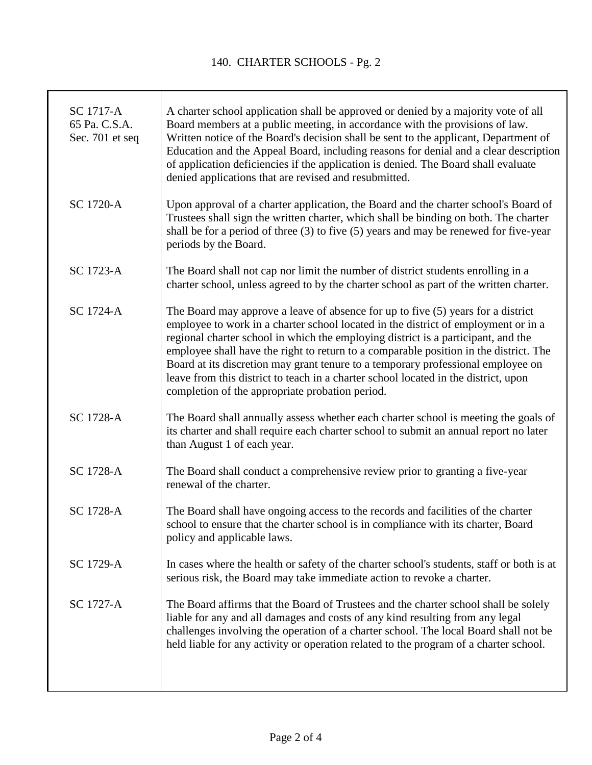T

| SC 1717-A<br>65 Pa. C.S.A.<br>Sec. 701 et seq | A charter school application shall be approved or denied by a majority vote of all<br>Board members at a public meeting, in accordance with the provisions of law.<br>Written notice of the Board's decision shall be sent to the applicant, Department of<br>Education and the Appeal Board, including reasons for denial and a clear description<br>of application deficiencies if the application is denied. The Board shall evaluate<br>denied applications that are revised and resubmitted.                                                                                  |
|-----------------------------------------------|------------------------------------------------------------------------------------------------------------------------------------------------------------------------------------------------------------------------------------------------------------------------------------------------------------------------------------------------------------------------------------------------------------------------------------------------------------------------------------------------------------------------------------------------------------------------------------|
| <b>SC 1720-A</b>                              | Upon approval of a charter application, the Board and the charter school's Board of<br>Trustees shall sign the written charter, which shall be binding on both. The charter<br>shall be for a period of three (3) to five (5) years and may be renewed for five-year<br>periods by the Board.                                                                                                                                                                                                                                                                                      |
| SC 1723-A                                     | The Board shall not cap nor limit the number of district students enrolling in a<br>charter school, unless agreed to by the charter school as part of the written charter.                                                                                                                                                                                                                                                                                                                                                                                                         |
| <b>SC 1724-A</b>                              | The Board may approve a leave of absence for up to five (5) years for a district<br>employee to work in a charter school located in the district of employment or in a<br>regional charter school in which the employing district is a participant, and the<br>employee shall have the right to return to a comparable position in the district. The<br>Board at its discretion may grant tenure to a temporary professional employee on<br>leave from this district to teach in a charter school located in the district, upon<br>completion of the appropriate probation period. |
| SC 1728-A                                     | The Board shall annually assess whether each charter school is meeting the goals of<br>its charter and shall require each charter school to submit an annual report no later<br>than August 1 of each year.                                                                                                                                                                                                                                                                                                                                                                        |
| <b>SC 1728-A</b>                              | The Board shall conduct a comprehensive review prior to granting a five-year<br>renewal of the charter.                                                                                                                                                                                                                                                                                                                                                                                                                                                                            |
| SC 1728-A                                     | The Board shall have ongoing access to the records and facilities of the charter<br>school to ensure that the charter school is in compliance with its charter, Board<br>policy and applicable laws.                                                                                                                                                                                                                                                                                                                                                                               |
| <b>SC 1729-A</b>                              | In cases where the health or safety of the charter school's students, staff or both is at<br>serious risk, the Board may take immediate action to revoke a charter.                                                                                                                                                                                                                                                                                                                                                                                                                |
| <b>SC 1727-A</b>                              | The Board affirms that the Board of Trustees and the charter school shall be solely<br>liable for any and all damages and costs of any kind resulting from any legal<br>challenges involving the operation of a charter school. The local Board shall not be<br>held liable for any activity or operation related to the program of a charter school.                                                                                                                                                                                                                              |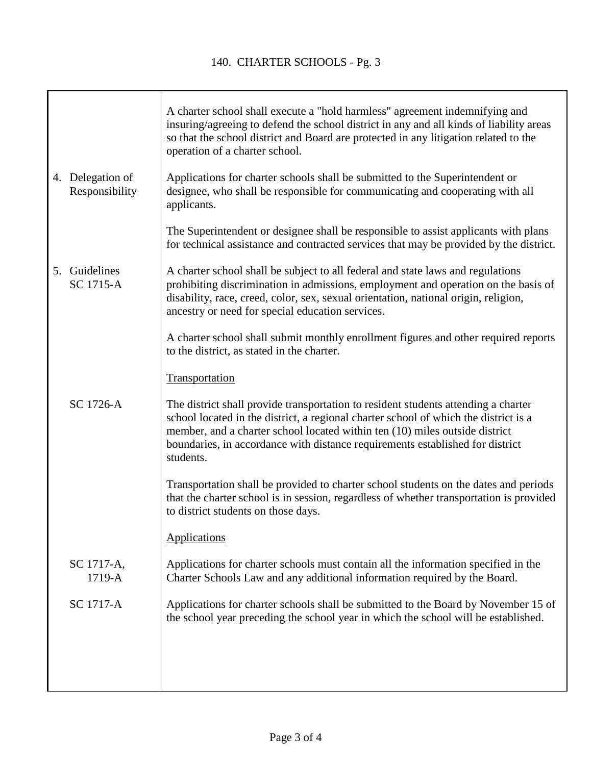|                                    | A charter school shall execute a "hold harmless" agreement indemnifying and<br>insuring/agreeing to defend the school district in any and all kinds of liability areas<br>so that the school district and Board are protected in any litigation related to the<br>operation of a charter school.                                                        |
|------------------------------------|---------------------------------------------------------------------------------------------------------------------------------------------------------------------------------------------------------------------------------------------------------------------------------------------------------------------------------------------------------|
| 4. Delegation of<br>Responsibility | Applications for charter schools shall be submitted to the Superintendent or<br>designee, who shall be responsible for communicating and cooperating with all<br>applicants.                                                                                                                                                                            |
|                                    | The Superintendent or designee shall be responsible to assist applicants with plans<br>for technical assistance and contracted services that may be provided by the district.                                                                                                                                                                           |
| 5. Guidelines<br><b>SC 1715-A</b>  | A charter school shall be subject to all federal and state laws and regulations<br>prohibiting discrimination in admissions, employment and operation on the basis of<br>disability, race, creed, color, sex, sexual orientation, national origin, religion,<br>ancestry or need for special education services.                                        |
|                                    | A charter school shall submit monthly enrollment figures and other required reports<br>to the district, as stated in the charter.                                                                                                                                                                                                                       |
|                                    | Transportation                                                                                                                                                                                                                                                                                                                                          |
| SC 1726-A                          | The district shall provide transportation to resident students attending a charter<br>school located in the district, a regional charter school of which the district is a<br>member, and a charter school located within ten (10) miles outside district<br>boundaries, in accordance with distance requirements established for district<br>students. |
|                                    | Transportation shall be provided to charter school students on the dates and periods<br>that the charter school is in session, regardless of whether transportation is provided<br>to district students on those days.                                                                                                                                  |
|                                    | <b>Applications</b>                                                                                                                                                                                                                                                                                                                                     |
| SC 1717-A,<br>1719-A               | Applications for charter schools must contain all the information specified in the<br>Charter Schools Law and any additional information required by the Board.                                                                                                                                                                                         |
| SC 1717-A                          | Applications for charter schools shall be submitted to the Board by November 15 of<br>the school year preceding the school year in which the school will be established.                                                                                                                                                                                |
|                                    |                                                                                                                                                                                                                                                                                                                                                         |
|                                    |                                                                                                                                                                                                                                                                                                                                                         |
|                                    |                                                                                                                                                                                                                                                                                                                                                         |